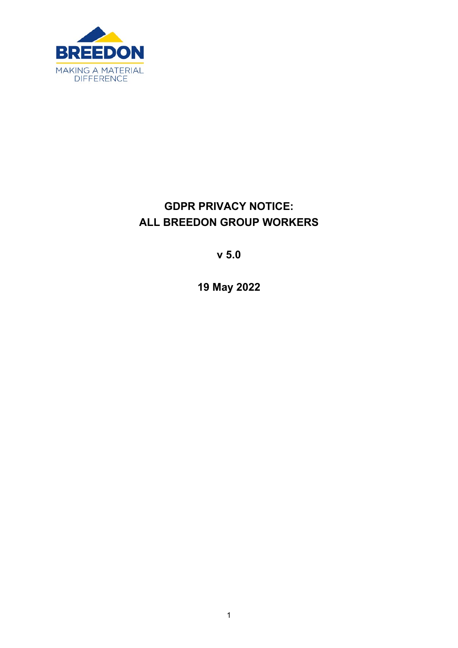

# **GDPR PRIVACY NOTICE: ALL BREEDON GROUP WORKERS**

**v 5.0** 

**19 May 2022**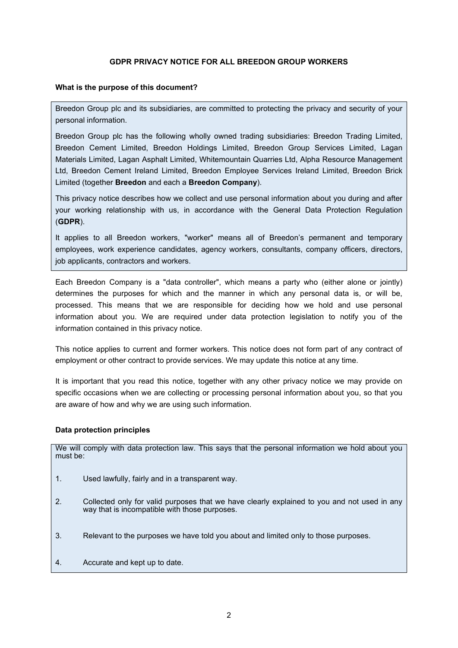## **GDPR PRIVACY NOTICE FOR ALL BREEDON GROUP WORKERS**

#### **What is the purpose of this document?**

Breedon Group plc and its subsidiaries, are committed to protecting the privacy and security of your personal information.

Breedon Group plc has the following wholly owned trading subsidiaries: Breedon Trading Limited, Breedon Cement Limited, Breedon Holdings Limited, Breedon Group Services Limited, Lagan Materials Limited, Lagan Asphalt Limited, Whitemountain Quarries Ltd, Alpha Resource Management Ltd, Breedon Cement Ireland Limited, Breedon Employee Services Ireland Limited, Breedon Brick Limited (together **Breedon** and each a **Breedon Company**).

This privacy notice describes how we collect and use personal information about you during and after your working relationship with us, in accordance with the General Data Protection Regulation (**GDPR**).

It applies to all Breedon workers, "worker" means all of Breedon's permanent and temporary employees, work experience candidates, agency workers, consultants, company officers, directors, job applicants, contractors and workers.

Each Breedon Company is a "data controller", which means a party who (either alone or jointly) determines the purposes for which and the manner in which any personal data is, or will be, processed. This means that we are responsible for deciding how we hold and use personal information about you. We are required under data protection legislation to notify you of the information contained in this privacy notice.

This notice applies to current and former workers. This notice does not form part of any contract of employment or other contract to provide services. We may update this notice at any time.

It is important that you read this notice, together with any other privacy notice we may provide on specific occasions when we are collecting or processing personal information about you, so that you are aware of how and why we are using such information.

## **Data protection principles**

We will comply with data protection law. This says that the personal information we hold about you must be:

- 1. Used lawfully, fairly and in a transparent way.
- 2. Collected only for valid purposes that we have clearly explained to you and not used in any way that is incompatible with those purposes.
- 3. Relevant to the purposes we have told you about and limited only to those purposes.
- 4. Accurate and kept up to date.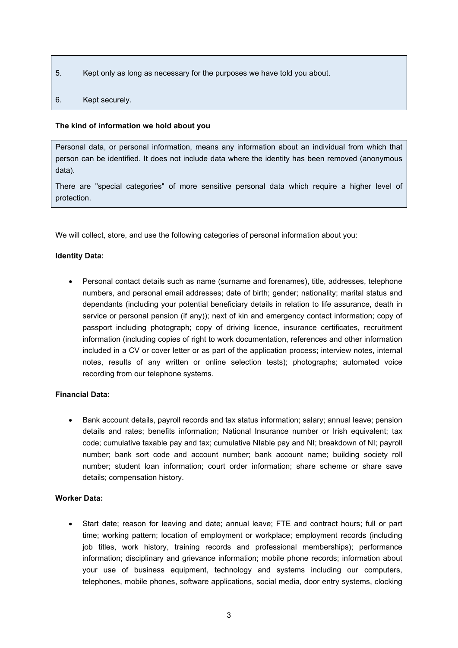- 5. Kept only as long as necessary for the purposes we have told you about.
- 6. Kept securely.

## <span id="page-2-0"></span>**The kind of information we hold about you**

Personal data, or personal information, means any information about an individual from which that person can be identified. It does not include data where the identity has been removed (anonymous data).

There are "special categories" of more sensitive personal data which require a higher level of protection.

We will collect, store, and use the following categories of personal information about you:

# **Identity Data:**

• Personal contact details such as name (surname and forenames), title, addresses, telephone numbers, and personal email addresses; date of birth; gender; nationality; marital status and dependants (including your potential beneficiary details in relation to life assurance, death in service or personal pension (if any)); next of kin and emergency contact information; copy of passport including photograph; copy of driving licence, insurance certificates, recruitment information (including copies of right to work documentation, references and other information included in a CV or cover letter or as part of the application process; interview notes, internal notes, results of any written or online selection tests); photographs; automated voice recording from our telephone systems.

# **Financial Data:**

• Bank account details, payroll records and tax status information; salary; annual leave; pension details and rates; benefits information; National Insurance number or Irish equivalent; tax code; cumulative taxable pay and tax; cumulative NIable pay and NI; breakdown of NI; payroll number; bank sort code and account number; bank account name; building society roll number; student loan information; court order information; share scheme or share save details; compensation history.

## **Worker Data:**

• Start date; reason for leaving and date; annual leave; FTE and contract hours; full or part time; working pattern; location of employment or workplace; employment records (including job titles, work history, training records and professional memberships); performance information; disciplinary and grievance information; mobile phone records; information about your use of business equipment, technology and systems including our computers, telephones, mobile phones, software applications, social media, door entry systems, clocking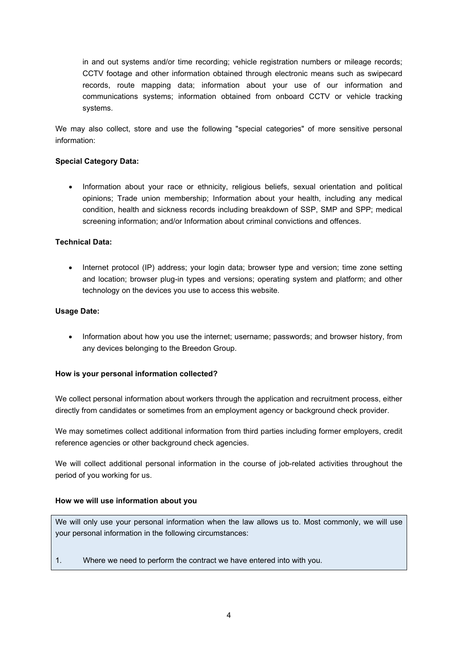in and out systems and/or time recording; vehicle registration numbers or mileage records; CCTV footage and other information obtained through electronic means such as swipecard records, route mapping data; information about your use of our information and communications systems; information obtained from onboard CCTV or vehicle tracking systems.

We may also collect, store and use the following "special categories" of more sensitive personal information:

## **Special Category Data:**

• Information about your race or ethnicity, religious beliefs, sexual orientation and political opinions; Trade union membership; Information about your health, including any medical condition, health and sickness records including breakdown of SSP, SMP and SPP; medical screening information; and/or Information about criminal convictions and offences.

## **Technical Data:**

• Internet protocol (IP) address; your login data; browser type and version; time zone setting and location; browser plug-in types and versions; operating system and platform; and other technology on the devices you use to access this website.

## **Usage Date:**

• Information about how you use the internet; username; passwords; and browser history, from any devices belonging to the Breedon Group.

## **How is your personal information collected?**

We collect personal information about workers through the application and recruitment process, either directly from candidates or sometimes from an employment agency or background check provider.

We may sometimes collect additional information from third parties including former employers, credit reference agencies or other background check agencies.

We will collect additional personal information in the course of job-related activities throughout the period of you working for us.

## **How we will use information about you**

We will only use your personal information when the law allows us to. Most commonly, we will use your personal information in the following circumstances:

1. Where we need to perform the contract we have entered into with you.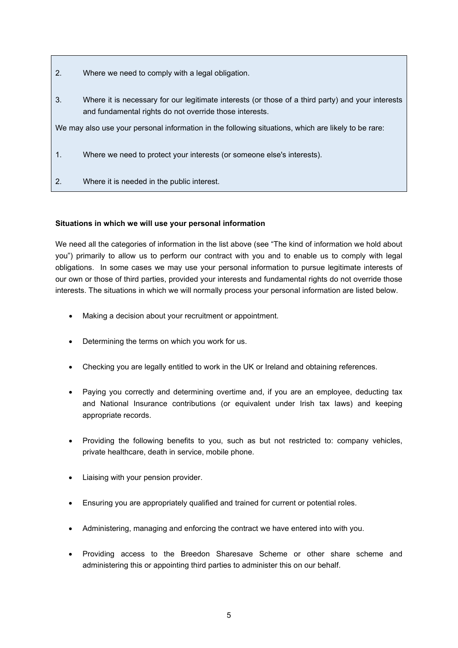- 2. Where we need to comply with a legal obligation.
- 3. Where it is necessary for our legitimate interests (or those of a third party) and your interests and fundamental rights do not override those interests.

We may also use your personal information in the following situations, which are likely to be rare:

- 1. Where we need to protect your interests (or someone else's interests).
- 2. Where it is needed in the public interest.

# **Situations in which we will use your personal information**

We need all the categories of information in the list above (see ["The kind of information we hold about](#page-2-0)  [you"](#page-2-0)) primarily to allow us to perform our contract with you and to enable us to comply with legal obligations. In some cases we may use your personal information to pursue legitimate interests of our own or those of third parties, provided your interests and fundamental rights do not override those interests. The situations in which we will normally process your personal information are listed below.

- Making a decision about your recruitment or appointment.
- Determining the terms on which you work for us.
- Checking you are legally entitled to work in the UK or Ireland and obtaining references.
- Paying you correctly and determining overtime and, if you are an employee, deducting tax and National Insurance contributions (or equivalent under Irish tax laws) and keeping appropriate records.
- Providing the following benefits to you, such as but not restricted to: company vehicles, private healthcare, death in service, mobile phone.
- Liaising with your pension provider.
- Ensuring you are appropriately qualified and trained for current or potential roles.
- Administering, managing and enforcing the contract we have entered into with you.
- Providing access to the Breedon Sharesave Scheme or other share scheme and administering this or appointing third parties to administer this on our behalf.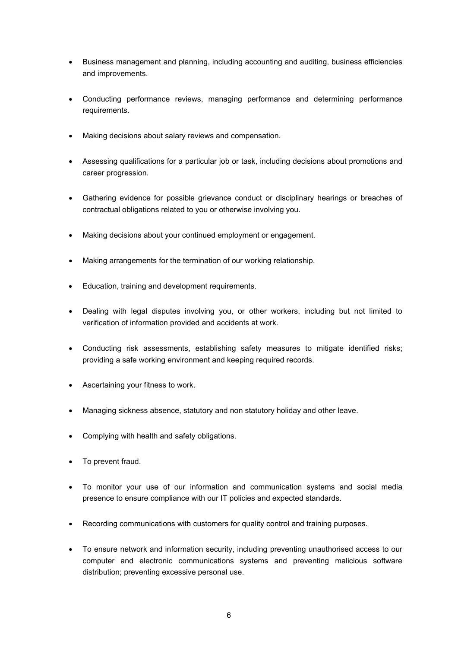- Business management and planning, including accounting and auditing, business efficiencies and improvements.
- Conducting performance reviews, managing performance and determining performance requirements.
- Making decisions about salary reviews and compensation.
- Assessing qualifications for a particular job or task, including decisions about promotions and career progression.
- Gathering evidence for possible grievance conduct or disciplinary hearings or breaches of contractual obligations related to you or otherwise involving you.
- Making decisions about your continued employment or engagement.
- Making arrangements for the termination of our working relationship.
- Education, training and development requirements.
- Dealing with legal disputes involving you, or other workers, including but not limited to verification of information provided and accidents at work.
- Conducting risk assessments, establishing safety measures to mitigate identified risks; providing a safe working environment and keeping required records.
- Ascertaining your fitness to work.
- Managing sickness absence, statutory and non statutory holiday and other leave.
- Complying with health and safety obligations.
- To prevent fraud.
- To monitor your use of our information and communication systems and social media presence to ensure compliance with our IT policies and expected standards.
- Recording communications with customers for quality control and training purposes.
- To ensure network and information security, including preventing unauthorised access to our computer and electronic communications systems and preventing malicious software distribution; preventing excessive personal use.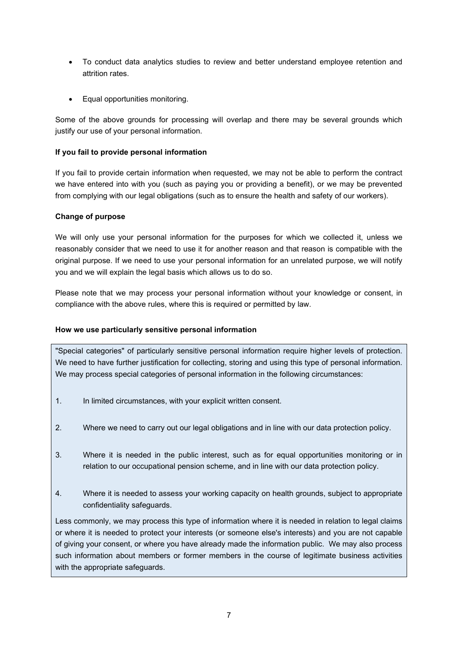- To conduct data analytics studies to review and better understand employee retention and attrition rates.
- Equal opportunities monitoring.

Some of the above grounds for processing will overlap and there may be several grounds which justify our use of your personal information.

## **If you fail to provide personal information**

If you fail to provide certain information when requested, we may not be able to perform the contract we have entered into with you (such as paying you or providing a benefit), or we may be prevented from complying with our legal obligations (such as to ensure the health and safety of our workers).

## **Change of purpose**

We will only use your personal information for the purposes for which we collected it, unless we reasonably consider that we need to use it for another reason and that reason is compatible with the original purpose. If we need to use your personal information for an unrelated purpose, we will notify you and we will explain the legal basis which allows us to do so.

Please note that we may process your personal information without your knowledge or consent, in compliance with the above rules, where this is required or permitted by law.

# **How we use particularly sensitive personal information**

"Special categories" of particularly sensitive personal information require higher levels of protection. We need to have further justification for collecting, storing and using this type of personal information. We may process special categories of personal information in the following circumstances:

- 1. In limited circumstances, with your explicit written consent.
- 2. Where we need to carry out our legal obligations and in line with our data protection policy.
- 3. Where it is needed in the public interest, such as for equal opportunities monitoring or in relation to our occupational pension scheme, and in line with our data protection policy.
- 4. Where it is needed to assess your working capacity on health grounds, subject to appropriate confidentiality safeguards.

Less commonly, we may process this type of information where it is needed in relation to legal claims or where it is needed to protect your interests (or someone else's interests) and you are not capable of giving your consent, or where you have already made the information public. We may also process such information about members or former members in the course of legitimate business activities with the appropriate safeguards.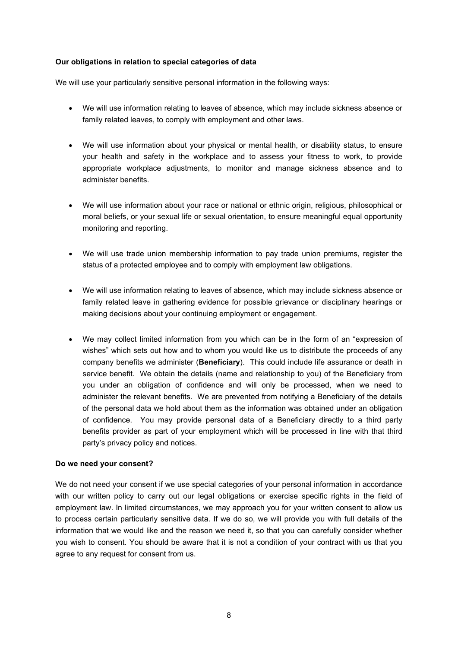## **Our obligations in relation to special categories of data**

We will use your particularly sensitive personal information in the following ways:

- We will use information relating to leaves of absence, which may include sickness absence or family related leaves, to comply with employment and other laws.
- We will use information about your physical or mental health, or disability status, to ensure your health and safety in the workplace and to assess your fitness to work, to provide appropriate workplace adjustments, to monitor and manage sickness absence and to administer benefits.
- We will use information about your race or national or ethnic origin, religious, philosophical or moral beliefs, or your sexual life or sexual orientation, to ensure meaningful equal opportunity monitoring and reporting.
- We will use trade union membership information to pay trade union premiums, register the status of a protected employee and to comply with employment law obligations.
- We will use information relating to leaves of absence, which may include sickness absence or family related leave in gathering evidence for possible grievance or disciplinary hearings or making decisions about your continuing employment or engagement.
- We may collect limited information from you which can be in the form of an "expression of wishes" which sets out how and to whom you would like us to distribute the proceeds of any company benefits we administer (**Beneficiary**). This could include life assurance or death in service benefit. We obtain the details (name and relationship to you) of the Beneficiary from you under an obligation of confidence and will only be processed, when we need to administer the relevant benefits. We are prevented from notifying a Beneficiary of the details of the personal data we hold about them as the information was obtained under an obligation of confidence. You may provide personal data of a Beneficiary directly to a third party benefits provider as part of your employment which will be processed in line with that third party's privacy policy and notices.

## **Do we need your consent?**

We do not need your consent if we use special categories of your personal information in accordance with our written policy to carry out our legal obligations or exercise specific rights in the field of employment law. In limited circumstances, we may approach you for your written consent to allow us to process certain particularly sensitive data. If we do so, we will provide you with full details of the information that we would like and the reason we need it, so that you can carefully consider whether you wish to consent. You should be aware that it is not a condition of your contract with us that you agree to any request for consent from us.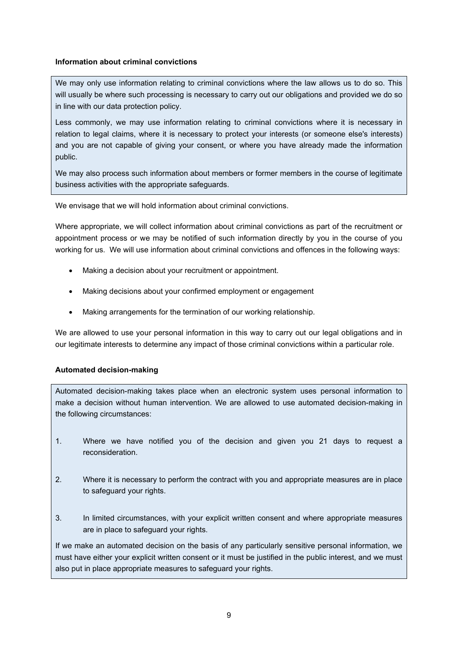## **Information about criminal convictions**

We may only use information relating to criminal convictions where the law allows us to do so. This will usually be where such processing is necessary to carry out our obligations and provided we do so in line with our data protection policy.

Less commonly, we may use information relating to criminal convictions where it is necessary in relation to legal claims, where it is necessary to protect your interests (or someone else's interests) and you are not capable of giving your consent, or where you have already made the information public.

We may also process such information about members or former members in the course of legitimate business activities with the appropriate safeguards.

We envisage that we will hold information about criminal convictions.

Where appropriate, we will collect information about criminal convictions as part of the recruitment or appointment process or we may be notified of such information directly by you in the course of you working for us. We will use information about criminal convictions and offences in the following ways:

- Making a decision about your recruitment or appointment.
- Making decisions about your confirmed employment or engagement
- Making arrangements for the termination of our working relationship.

We are allowed to use your personal information in this way to carry out our legal obligations and in our legitimate interests to determine any impact of those criminal convictions within a particular role.

## **Automated decision-making**

Automated decision-making takes place when an electronic system uses personal information to make a decision without human intervention. We are allowed to use automated decision-making in the following circumstances:

- 1. Where we have notified you of the decision and given you 21 days to request a reconsideration.
- 2. Where it is necessary to perform the contract with you and appropriate measures are in place to safeguard your rights.
- 3. In limited circumstances, with your explicit written consent and where appropriate measures are in place to safeguard your rights.

If we make an automated decision on the basis of any particularly sensitive personal information, we must have either your explicit written consent or it must be justified in the public interest, and we must also put in place appropriate measures to safeguard your rights.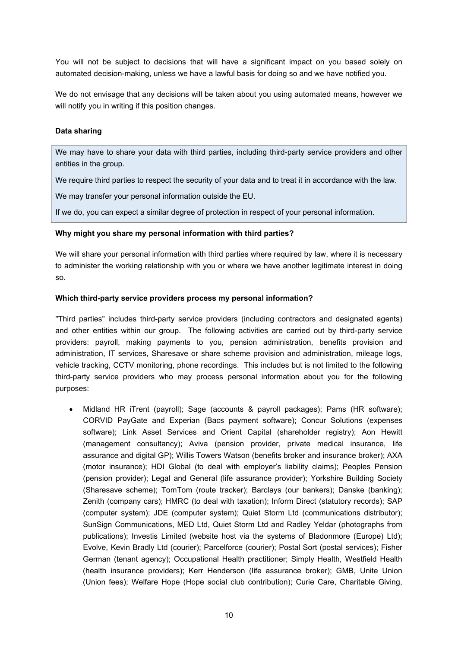You will not be subject to decisions that will have a significant impact on you based solely on automated decision-making, unless we have a lawful basis for doing so and we have notified you.

We do not envisage that any decisions will be taken about you using automated means, however we will notify you in writing if this position changes.

#### **Data sharing**

We may have to share your data with third parties, including third-party service providers and other entities in the group.

We require third parties to respect the security of your data and to treat it in accordance with the law.

We may transfer your personal information outside the EU.

If we do, you can expect a similar degree of protection in respect of your personal information.

#### **Why might you share my personal information with third parties?**

We will share your personal information with third parties where required by law, where it is necessary to administer the working relationship with you or where we have another legitimate interest in doing so.

#### **Which third-party service providers process my personal information?**

"Third parties" includes third-party service providers (including contractors and designated agents) and other entities within our group. The following activities are carried out by third-party service providers: payroll, making payments to you, pension administration, benefits provision and administration, IT services, Sharesave or share scheme provision and administration, mileage logs, vehicle tracking, CCTV monitoring, phone recordings. This includes but is not limited to the following third-party service providers who may process personal information about you for the following purposes:

• Midland HR iTrent (payroll); Sage (accounts & payroll packages); Pams (HR software); CORVID PayGate and Experian (Bacs payment software); Concur Solutions (expenses software); Link Asset Services and Orient Capital (shareholder registry); Aon Hewitt (management consultancy); Aviva (pension provider, private medical insurance, life assurance and digital GP); Willis Towers Watson (benefits broker and insurance broker); AXA (motor insurance); HDI Global (to deal with employer's liability claims); Peoples Pension (pension provider); Legal and General (life assurance provider); Yorkshire Building Society (Sharesave scheme); TomTom (route tracker); Barclays (our bankers); Danske (banking); Zenith (company cars); HMRC (to deal with taxation); Inform Direct (statutory records); SAP (computer system); JDE (computer system); Quiet Storm Ltd (communications distributor); SunSign Communications, MED Ltd, Quiet Storm Ltd and Radley Yeldar (photographs from publications); Investis Limited (website host via the systems of Bladonmore (Europe) Ltd); Evolve, Kevin Bradly Ltd (courier); Parcelforce (courier); Postal Sort (postal services); Fisher German (tenant agency); Occupational Health practitioner; Simply Health, Westfield Health (health insurance providers); Kerr Henderson (life assurance broker); GMB, Unite Union (Union fees); Welfare Hope (Hope social club contribution); Curie Care, Charitable Giving,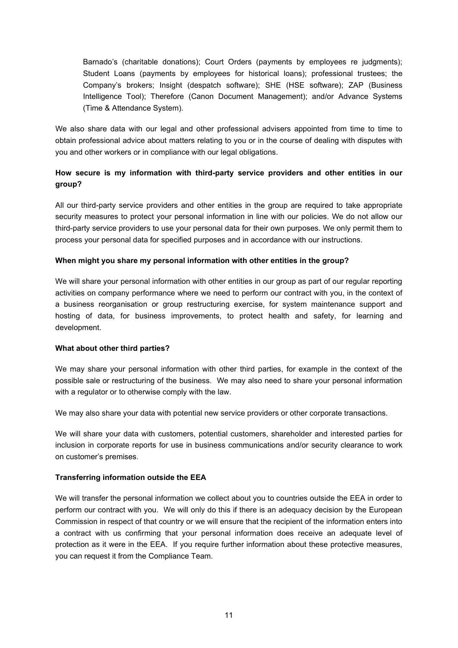Barnado's (charitable donations); Court Orders (payments by employees re judgments); Student Loans (payments by employees for historical loans); professional trustees; the Company's brokers; Insight (despatch software); SHE (HSE software); ZAP (Business Intelligence Tool); Therefore (Canon Document Management); and/or Advance Systems (Time & Attendance System).

We also share data with our legal and other professional advisers appointed from time to time to obtain professional advice about matters relating to you or in the course of dealing with disputes with you and other workers or in compliance with our legal obligations.

# **How secure is my information with third-party service providers and other entities in our group?**

All our third-party service providers and other entities in the group are required to take appropriate security measures to protect your personal information in line with our policies. We do not allow our third-party service providers to use your personal data for their own purposes. We only permit them to process your personal data for specified purposes and in accordance with our instructions.

## **When might you share my personal information with other entities in the group?**

We will share your personal information with other entities in our group as part of our regular reporting activities on company performance where we need to perform our contract with you, in the context of a business reorganisation or group restructuring exercise, for system maintenance support and hosting of data, for business improvements, to protect health and safety, for learning and development.

#### **What about other third parties?**

We may share your personal information with other third parties, for example in the context of the possible sale or restructuring of the business. We may also need to share your personal information with a regulator or to otherwise comply with the law.

We may also share your data with potential new service providers or other corporate transactions.

We will share your data with customers, potential customers, shareholder and interested parties for inclusion in corporate reports for use in business communications and/or security clearance to work on customer's premises.

## **Transferring information outside the EEA**

We will transfer the personal information we collect about you to countries outside the EEA in order to perform our contract with you. We will only do this if there is an adequacy decision by the European Commission in respect of that country or we will ensure that the recipient of the information enters into a contract with us confirming that your personal information does receive an adequate level of protection as it were in the EEA. If you require further information about these protective measures, you can request it from the Compliance Team.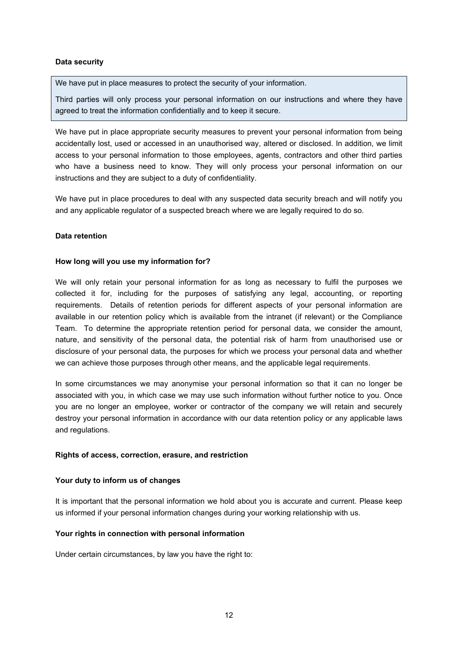## **Data security**

We have put in place measures to protect the security of your information.

Third parties will only process your personal information on our instructions and where they have agreed to treat the information confidentially and to keep it secure.

We have put in place appropriate security measures to prevent your personal information from being accidentally lost, used or accessed in an unauthorised way, altered or disclosed. In addition, we limit access to your personal information to those employees, agents, contractors and other third parties who have a business need to know. They will only process your personal information on our instructions and they are subject to a duty of confidentiality.

We have put in place procedures to deal with any suspected data security breach and will notify you and any applicable regulator of a suspected breach where we are legally required to do so.

#### **Data retention**

#### **How long will you use my information for?**

We will only retain your personal information for as long as necessary to fulfil the purposes we collected it for, including for the purposes of satisfying any legal, accounting, or reporting requirements. Details of retention periods for different aspects of your personal information are available in our retention policy which is available from the intranet (if relevant) or the Compliance Team. To determine the appropriate retention period for personal data, we consider the amount, nature, and sensitivity of the personal data, the potential risk of harm from unauthorised use or disclosure of your personal data, the purposes for which we process your personal data and whether we can achieve those purposes through other means, and the applicable legal requirements.

In some circumstances we may anonymise your personal information so that it can no longer be associated with you, in which case we may use such information without further notice to you. Once you are no longer an employee, worker or contractor of the company we will retain and securely destroy your personal information in accordance with our data retention policy or any applicable laws and regulations.

#### **Rights of access, correction, erasure, and restriction**

#### **Your duty to inform us of changes**

It is important that the personal information we hold about you is accurate and current. Please keep us informed if your personal information changes during your working relationship with us.

#### **Your rights in connection with personal information**

Under certain circumstances, by law you have the right to: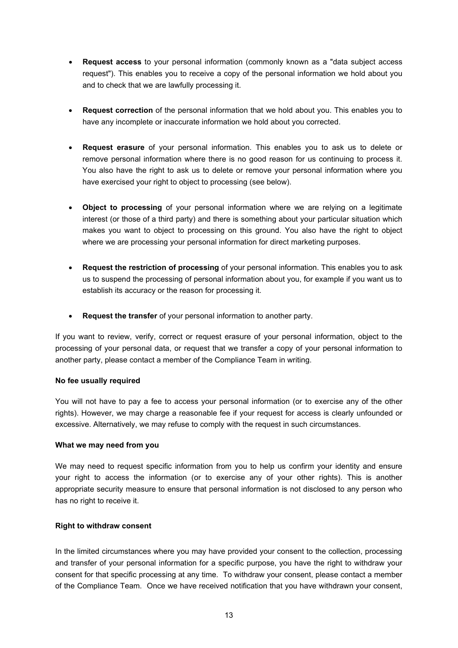- **Request access** to your personal information (commonly known as a "data subject access request"). This enables you to receive a copy of the personal information we hold about you and to check that we are lawfully processing it.
- **Request correction** of the personal information that we hold about you. This enables you to have any incomplete or inaccurate information we hold about you corrected.
- **Request erasure** of your personal information. This enables you to ask us to delete or remove personal information where there is no good reason for us continuing to process it. You also have the right to ask us to delete or remove your personal information where you have exercised your right to object to processing (see below).
- **Object to processing** of your personal information where we are relying on a legitimate interest (or those of a third party) and there is something about your particular situation which makes you want to object to processing on this ground. You also have the right to object where we are processing your personal information for direct marketing purposes.
- **Request the restriction of processing** of your personal information. This enables you to ask us to suspend the processing of personal information about you, for example if you want us to establish its accuracy or the reason for processing it.
- **Request the transfer** of your personal information to another party.

If you want to review, verify, correct or request erasure of your personal information, object to the processing of your personal data, or request that we transfer a copy of your personal information to another party, please contact a member of the Compliance Team in writing.

## **No fee usually required**

You will not have to pay a fee to access your personal information (or to exercise any of the other rights). However, we may charge a reasonable fee if your request for access is clearly unfounded or excessive. Alternatively, we may refuse to comply with the request in such circumstances.

## **What we may need from you**

We may need to request specific information from you to help us confirm your identity and ensure your right to access the information (or to exercise any of your other rights). This is another appropriate security measure to ensure that personal information is not disclosed to any person who has no right to receive it.

# **Right to withdraw consent**

In the limited circumstances where you may have provided your consent to the collection, processing and transfer of your personal information for a specific purpose, you have the right to withdraw your consent for that specific processing at any time. To withdraw your consent, please contact a member of the Compliance Team. Once we have received notification that you have withdrawn your consent,